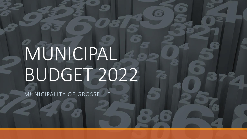# MUNICIPAL BUDGET 2022

MUNICIPALITY OF GROSSE ILE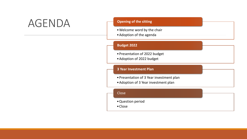### AGENDA

#### **Opening of the sitting**

- •Welcome word by the chair
- •Adoption of the agenda

#### **Budget 2022**

- •Presentation of 2022 budget
- •Adoption of 2022 budget

#### **3 Year Investment Plan**

- •Presentation of 3 Year investment plan
- •Adoption of 3 Year investment plan

#### Close

- •Question period
- •Close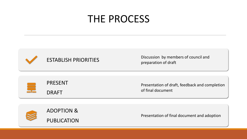### THE PROCESS



ESTABLISH PRIORITIES Discussion by members of council and preparation of draft

PRESENT DRAFT

Presentation of draft, feedback and completion of final document



Presentation of final document and adoption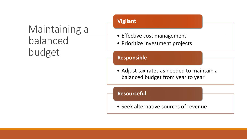### Maintaining a balanced budget

### **Vigilant**

- Effective cost management
- Prioritize investment projects

### **Responsible**

• Adjust tax rates as needed to maintain a balanced budget from year to year

**Resourceful**

• Seek alternative sources of revenue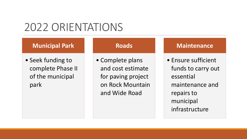### 2022 ORIENTATIONS

### **Municipal Park**

• Seek funding to complete Phase II of the municipal park

### **Roads**

• Complete plans and cost estimate for paving project on Rock Mountain and Wide Road

### **Maintenance**

• Ensure sufficient funds to carry out essential maintenance and repairs to municipal infrastructure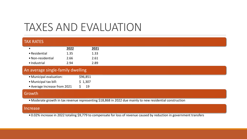### TAXES AND EVALUATION

| <b>TAX RATES</b>                  |      |          |                                                                                                           |  |  |  |  |
|-----------------------------------|------|----------|-----------------------------------------------------------------------------------------------------------|--|--|--|--|
| $\bullet$                         | 2022 | 2021     |                                                                                                           |  |  |  |  |
| • Residential                     | 1.35 | 1.33     |                                                                                                           |  |  |  |  |
| • Non-residential                 | 2.66 | 2.61     |                                                                                                           |  |  |  |  |
| • Industrial                      | 2.94 | 2.89     |                                                                                                           |  |  |  |  |
| An average single-family dwelling |      |          |                                                                                                           |  |  |  |  |
| • Municipal evaluation:           |      | \$96,851 |                                                                                                           |  |  |  |  |
| • Municipal tax bill:             |      | \$1,307  |                                                                                                           |  |  |  |  |
| • Average Increase from 2021      |      | 19<br>S. |                                                                                                           |  |  |  |  |
| Growth                            |      |          |                                                                                                           |  |  |  |  |
|                                   |      |          | • Moderate growth in tax revenue representing \$18,868 in 2022 due mainly to new residential construction |  |  |  |  |

#### Increase

• 0.02% increase in 2022 totaling \$9,779 to compensate for loss of revenue caused by reduction in government transfers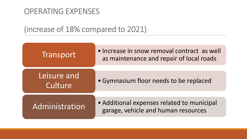### OPERATING EXPENSES

### (increase of 18% compared to 2021)

| Transport              | • Increase in snow removal contract as well<br>as maintenance and repair of local roads |  |  |  |
|------------------------|-----------------------------------------------------------------------------------------|--|--|--|
| Leisure and<br>Culture | • Gymnasium floor needs to be replaced                                                  |  |  |  |
| Administration         | • Additional expenses related to municipal<br>garage, vehicle and human resources       |  |  |  |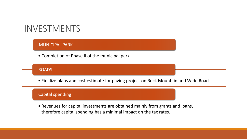### INVESTMENTS

#### MUNICIPAL PARK

• Completion of Phase II of the municipal park

#### ROADS

• Finalize plans and cost estimate for paving project on Rock Mountain and Wide Road

#### Capital spending

• Revenues for capital investments are obtained mainly from grants and loans, therefore capital spending has a minimal impact on the tax rates.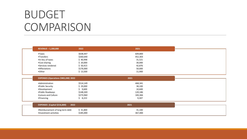### BUDGET **COMPARISON**

| <b>REVENUE - 1,200,000</b>           | 2022                  | 2021              |
|--------------------------------------|-----------------------|-------------------|
| $\bullet$ Taxes                      | \$638,447             | 609,800           |
| •Transfers                           | \$260,640             | 452,303           |
| •In-lieu of taxes                    | \$40,998              | 31,521            |
| •Cost sharing                        | \$20,000              | 30,000            |
| •Services rendered                   | \$50,415              | 42,876            |
| • Affectations                       | \$176,000             | 50,000            |
| •Other                               | \$13,500              | 11,900            |
| EXPENSES (Operations \$983,200) 2022 |                       | 2021              |
| • Administration                     | \$514,149             | 468,341           |
| • Public Security                    | \$29,000              | 38,100            |
| •Development                         |                       |                   |
|                                      |                       |                   |
| • Public Roadways                    | \$9,600<br>\$148,269  | 10,600<br>120,186 |
| • Leisure and Culture                | \$273,960             | 183,366           |
| • Financing                          | \$8,222               | 9,307             |
|                                      |                       |                   |
| EXPENSES (Capital \$216,800)         | 2022                  | 2021              |
| . Reimbursement of long-term debt    | \$31,800<br>\$185,000 | 31,100            |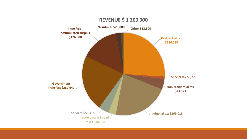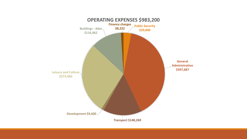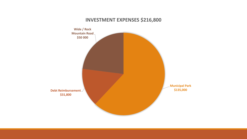### **INVESTMENT EXPENSES \$216,800**

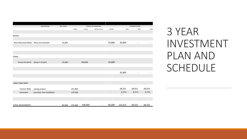|                       |                           |                  | SOURCE OF FINANCING |         |                          |        |         |                          |        |
|-----------------------|---------------------------|------------------|---------------------|---------|--------------------------|--------|---------|--------------------------|--------|
|                       | <b>DESCRIPTION</b>        | <b>NET COSTS</b> | LOAN                | Grants  | General Fund             | OTHER  | 2022    | PAYMENTS/YEAR<br>2023    | 2024   |
|                       |                           |                  |                     |         |                          |        |         |                          |        |
| <b>ROADS</b>          |                           |                  |                     |         |                          |        |         |                          |        |
|                       |                           |                  |                     |         |                          |        |         |                          |        |
| Rock Mountain/Wide    | Plans and estimate        | 50,000           |                     |         |                          | 50,000 | 50,000  | $\overline{\phantom{a}}$ |        |
|                       |                           |                  |                     |         |                          |        |         |                          |        |
|                       |                           |                  |                     |         |                          |        |         |                          |        |
|                       |                           |                  |                     |         |                          |        |         |                          |        |
| <b>PARKS</b>          |                           |                  |                     |         |                          |        |         |                          |        |
|                       |                           |                  |                     |         |                          |        |         |                          |        |
| Grosse Ile North      | phase II of park          | 35,000           |                     | 100,000 |                          | 35,000 |         |                          |        |
|                       |                           |                  |                     |         |                          |        |         |                          |        |
|                       |                           |                  |                     |         |                          |        |         |                          |        |
|                       |                           |                  |                     |         |                          |        | 35,000  |                          |        |
|                       |                           |                  |                     |         |                          |        |         |                          |        |
|                       |                           |                  |                     |         |                          |        |         |                          |        |
| <b>LONG TERM DEBT</b> |                           |                  |                     |         |                          |        |         |                          |        |
| Chemin Wide           | paving project            |                  | 241,900             |         |                          |        | 28,551  | 28,551                   | 28,551 |
| Generator             | purchase and installation |                  | 134,500             |         |                          |        | 9,771   | 9,771                    | 9,771  |
|                       |                           |                  |                     |         |                          |        |         |                          |        |
|                       |                           |                  |                     |         |                          |        |         |                          |        |
|                       |                           |                  |                     |         |                          |        |         |                          |        |
| TOTAL INVESTMENTS     |                           | 85,000           | 376,400             | 100,000 | $\overline{\phantom{a}}$ | 85,000 | 123,322 | 38,322                   | 38,322 |

### 3 YEAR INVESTMENT PLAN AND SCHEDULE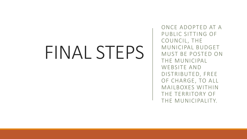## FINAL STEPS

ONCE ADOPTED AT A PUBLIC SITTING OF COUNCIL, THE MUNICIPAL BUDGET MUST BE POSTED ON THE MUNICIPAL WEBSITE AND DISTRIBUTED, FREE OF CHARGE, TO ALL MAILBOXES WITHIN THE TERRITORY OF THE MUNICIPALITY.